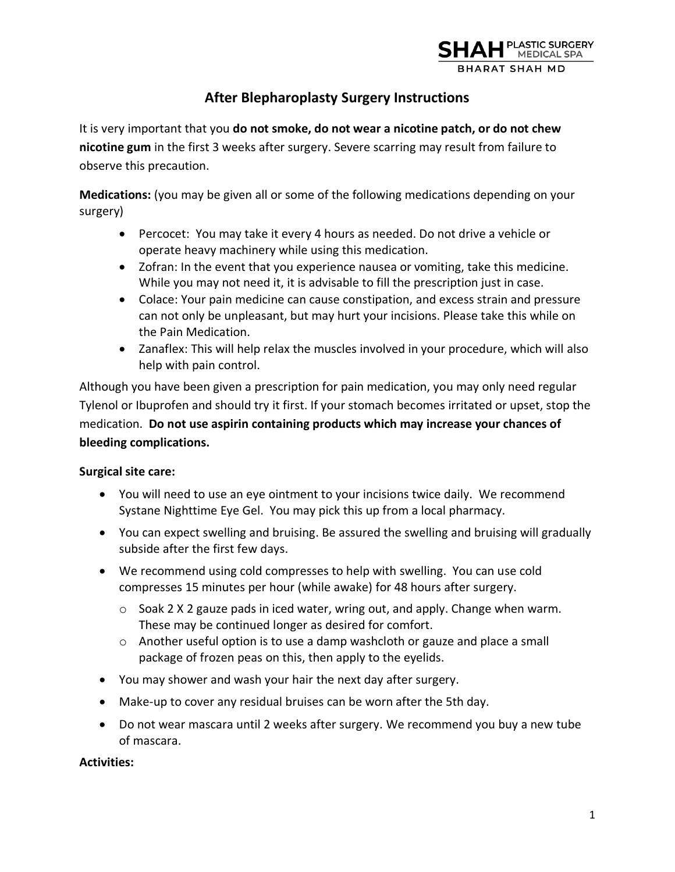

# **After Blepharoplasty Surgery Instructions**

It is very important that you **do not smoke, do not wear a nicotine patch, or do not chew nicotine gum** in the first 3 weeks after surgery. Severe scarring may result from failure to observe this precaution.

**Medications:** (you may be given all or some of the following medications depending on your surgery)

- Percocet: You may take it every 4 hours as needed. Do not drive a vehicle or operate heavy machinery while using this medication.
- Zofran: In the event that you experience nausea or vomiting, take this medicine. While you may not need it, it is advisable to fill the prescription just in case.
- Colace: Your pain medicine can cause constipation, and excess strain and pressure can not only be unpleasant, but may hurt your incisions. Please take this while on the Pain Medication.
- Zanaflex: This will help relax the muscles involved in your procedure, which will also help with pain control.

Although you have been given a prescription for pain medication, you may only need regular Tylenol or Ibuprofen and should try it first. If your stomach becomes irritated or upset, stop the medication. **Do not use aspirin containing products which may increase your chances of bleeding complications.** 

## **Surgical site care:**

- You will need to use an eye ointment to your incisions twice daily. We recommend Systane Nighttime Eye Gel. You may pick this up from a local pharmacy.
- You can expect swelling and bruising. Be assured the swelling and bruising will gradually subside after the first few days.
- We recommend using cold compresses to help with swelling. You can use cold compresses 15 minutes per hour (while awake) for 48 hours after surgery.
	- $\circ$  Soak 2 X 2 gauze pads in iced water, wring out, and apply. Change when warm. These may be continued longer as desired for comfort.
	- o Another useful option is to use a damp washcloth or gauze and place a small package of frozen peas on this, then apply to the eyelids.
- You may shower and wash your hair the next day after surgery.
- Make-up to cover any residual bruises can be worn after the 5th day.
- Do not wear mascara until 2 weeks after surgery. We recommend you buy a new tube of mascara.

## **Activities:**